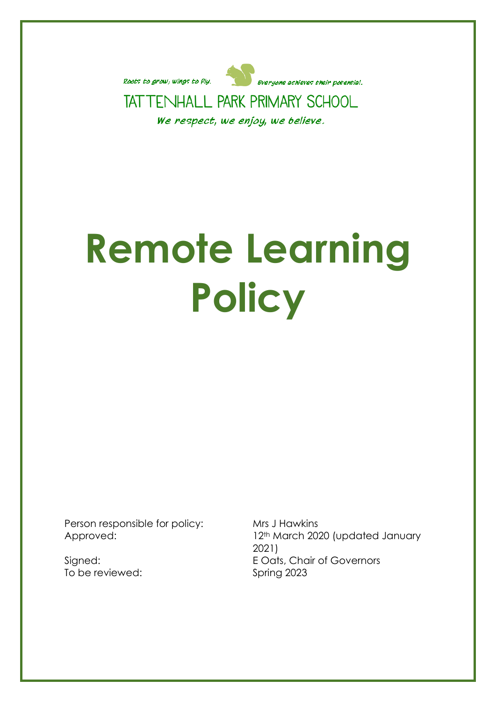

# **Remote Learning Policy**

Person responsible for policy: Mrs J Hawkins

To be reviewed: Spring 2023

Approved: 12<sup>th</sup> March 2020 (updated January 2021) Signed: E Oats, Chair of Governors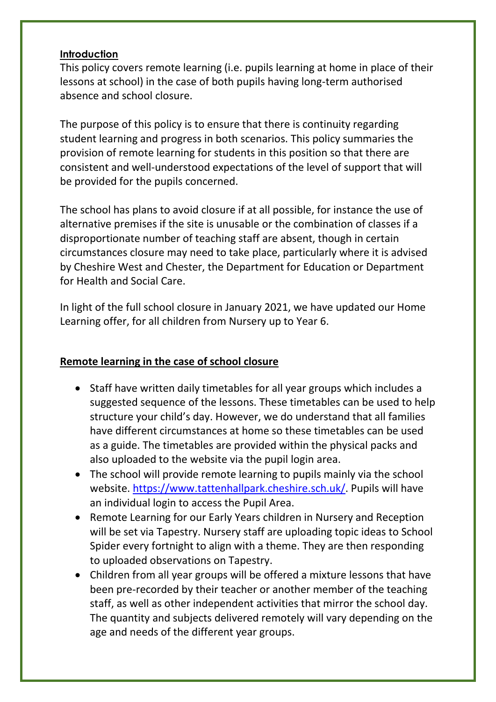#### **Introduction**

This policy covers remote learning (i.e. pupils learning at home in place of their lessons at school) in the case of both pupils having long-term authorised absence and school closure.

The purpose of this policy is to ensure that there is continuity regarding student learning and progress in both scenarios. This policy summaries the provision of remote learning for students in this position so that there are consistent and well-understood expectations of the level of support that will be provided for the pupils concerned.

The school has plans to avoid closure if at all possible, for instance the use of alternative premises if the site is unusable or the combination of classes if a disproportionate number of teaching staff are absent, though in certain circumstances closure may need to take place, particularly where it is advised by Cheshire West and Chester, the Department for Education or Department for Health and Social Care.

In light of the full school closure in January 2021, we have updated our Home Learning offer, for all children from Nursery up to Year 6.

# **Remote learning in the case of school closure**

- Staff have written daily timetables for all year groups which includes a suggested sequence of the lessons. These timetables can be used to help structure your child's day. However, we do understand that all families have different circumstances at home so these timetables can be used as a guide. The timetables are provided within the physical packs and also uploaded to the website via the pupil login area.
- The school will provide remote learning to pupils mainly via the school website. [https://www.tattenhallpark.cheshire.sch.uk/.](https://www.tattenhallpark.cheshire.sch.uk/) Pupils will have an individual login to access the Pupil Area.
- Remote Learning for our Early Years children in Nursery and Reception will be set via Tapestry. Nursery staff are uploading topic ideas to School Spider every fortnight to align with a theme. They are then responding to uploaded observations on Tapestry.
- Children from all year groups will be offered a mixture lessons that have been pre-recorded by their teacher or another member of the teaching staff, as well as other independent activities that mirror the school day. The quantity and subjects delivered remotely will vary depending on the age and needs of the different year groups.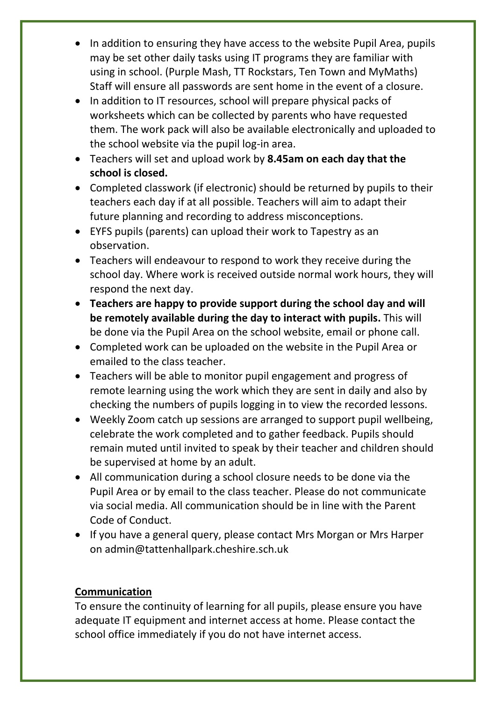- In addition to ensuring they have access to the website Pupil Area, pupils may be set other daily tasks using IT programs they are familiar with using in school. (Purple Mash, TT Rockstars, Ten Town and MyMaths) Staff will ensure all passwords are sent home in the event of a closure.
- In addition to IT resources, school will prepare physical packs of worksheets which can be collected by parents who have requested them. The work pack will also be available electronically and uploaded to the school website via the pupil log-in area.
- Teachers will set and upload work by **8.45am on each day that the school is closed.**
- Completed classwork (if electronic) should be returned by pupils to their teachers each day if at all possible. Teachers will aim to adapt their future planning and recording to address misconceptions.
- EYFS pupils (parents) can upload their work to Tapestry as an observation.
- Teachers will endeavour to respond to work they receive during the school day. Where work is received outside normal work hours, they will respond the next day.
- **Teachers are happy to provide support during the school day and will be remotely available during the day to interact with pupils.** This will be done via the Pupil Area on the school website, email or phone call.
- Completed work can be uploaded on the website in the Pupil Area or emailed to the class teacher.
- Teachers will be able to monitor pupil engagement and progress of remote learning using the work which they are sent in daily and also by checking the numbers of pupils logging in to view the recorded lessons.
- Weekly Zoom catch up sessions are arranged to support pupil wellbeing, celebrate the work completed and to gather feedback. Pupils should remain muted until invited to speak by their teacher and children should be supervised at home by an adult.
- All communication during a school closure needs to be done via the Pupil Area or by email to the class teacher. Please do not communicate via social media. All communication should be in line with the Parent Code of Conduct.
- If you have a general query, please contact Mrs Morgan or Mrs Harper on admin@tattenhallpark.cheshire.sch.uk

# **Communication**

To ensure the continuity of learning for all pupils, please ensure you have adequate IT equipment and internet access at home. Please contact the school office immediately if you do not have internet access.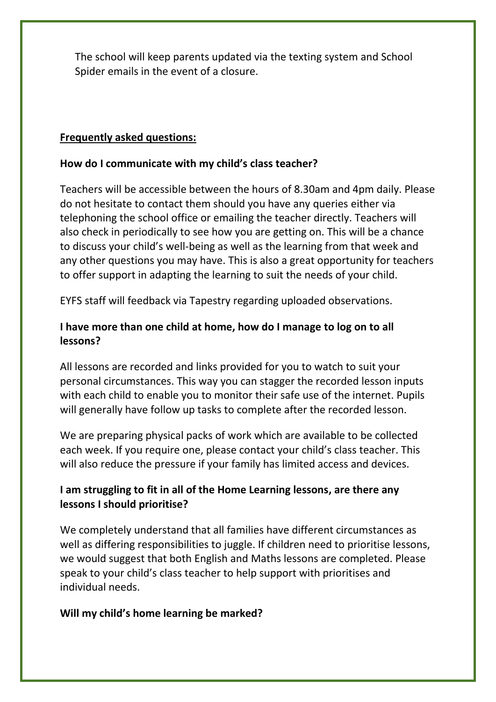The school will keep parents updated via the texting system and School Spider emails in the event of a closure.

## **Frequently asked questions:**

### **How do I communicate with my child's class teacher?**

Teachers will be accessible between the hours of 8.30am and 4pm daily. Please do not hesitate to contact them should you have any queries either via telephoning the school office or emailing the teacher directly. Teachers will also check in periodically to see how you are getting on. This will be a chance to discuss your child's well-being as well as the learning from that week and any other questions you may have. This is also a great opportunity for teachers to offer support in adapting the learning to suit the needs of your child.

EYFS staff will feedback via Tapestry regarding uploaded observations.

## **I have more than one child at home, how do I manage to log on to all lessons?**

All lessons are recorded and links provided for you to watch to suit your personal circumstances. This way you can stagger the recorded lesson inputs with each child to enable you to monitor their safe use of the internet. Pupils will generally have follow up tasks to complete after the recorded lesson.

We are preparing physical packs of work which are available to be collected each week. If you require one, please contact your child's class teacher. This will also reduce the pressure if your family has limited access and devices.

# **I am struggling to fit in all of the Home Learning lessons, are there any lessons I should prioritise?**

We completely understand that all families have different circumstances as well as differing responsibilities to juggle. If children need to prioritise lessons, we would suggest that both English and Maths lessons are completed. Please speak to your child's class teacher to help support with prioritises and individual needs.

## **Will my child's home learning be marked?**